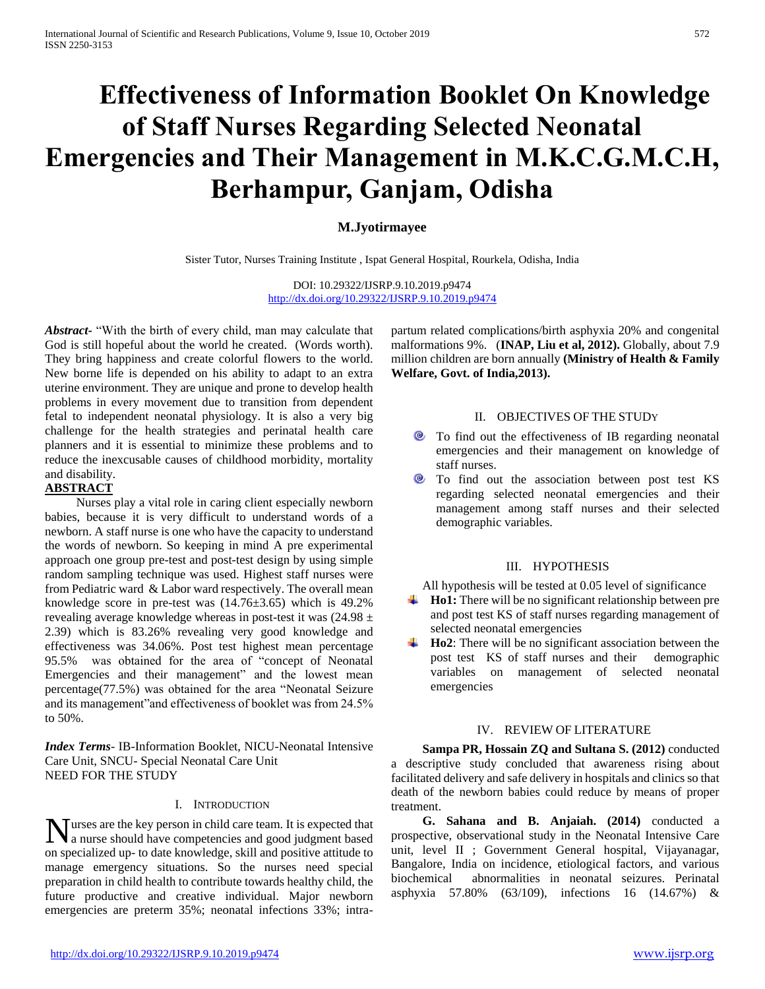# **Effectiveness of Information Booklet On Knowledge of Staff Nurses Regarding Selected Neonatal Emergencies and Their Management in M.K.C.G.M.C.H, Berhampur, Ganjam, Odisha**

# **M.Jyotirmayee**

Sister Tutor, Nurses Training Institute , Ispat General Hospital, Rourkela, Odisha, India

DOI: 10.29322/IJSRP.9.10.2019.p9474 <http://dx.doi.org/10.29322/IJSRP.9.10.2019.p9474>

*Abstract***-** "With the birth of every child, man may calculate that God is still hopeful about the world he created. (Words worth). They bring happiness and create colorful flowers to the world. New borne life is depended on his ability to adapt to an extra uterine environment. They are unique and prone to develop health problems in every movement due to transition from dependent fetal to independent neonatal physiology. It is also a very big challenge for the health strategies and perinatal health care planners and it is essential to minimize these problems and to reduce the inexcusable causes of childhood morbidity, mortality and disability.

# **ABSTRACT**

 Nurses play a vital role in caring client especially newborn babies, because it is very difficult to understand words of a newborn. A staff nurse is one who have the capacity to understand the words of newborn. So keeping in mind A pre experimental approach one group pre-test and post-test design by using simple random sampling technique was used. Highest staff nurses were from Pediatric ward & Labor ward respectively. The overall mean knowledge score in pre-test was (14.76±3.65) which is 49.2% revealing average knowledge whereas in post-test it was (24.98 ± 2.39) which is 83.26% revealing very good knowledge and effectiveness was 34.06%. Post test highest mean percentage 95.5% was obtained for the area of "concept of Neonatal Emergencies and their management" and the lowest mean percentage(77.5%) was obtained for the area "Neonatal Seizure and its management"and effectiveness of booklet was from 24.5% to 50%.

*Index Terms*- IB-Information Booklet, NICU-Neonatal Intensive Care Unit, SNCU- Special Neonatal Care Unit NEED FOR THE STUDY

## I. INTRODUCTION

urses are the key person in child care team. It is expected that Nurses are the key person in child care team. It is expected that<br>a nurse should have competencies and good judgment based on specialized up- to date knowledge, skill and positive attitude to manage emergency situations. So the nurses need special preparation in child health to contribute towards healthy child, the future productive and creative individual. Major newborn emergencies are preterm 35%; neonatal infections 33%; intrapartum related complications/birth asphyxia 20% and congenital malformations 9%. (**INAP, Liu et al, 2012).** Globally, about 7.9 million children are born annually **(Ministry of Health & Family Welfare, Govt. of India,2013).**

## II. OBJECTIVES OF THE STUDY

- To find out the effectiveness of IB regarding neonatal emergencies and their management on knowledge of staff nurses.
- <sup>®</sup> To find out the association between post test KS regarding selected neonatal emergencies and their management among staff nurses and their selected demographic variables.

## III. HYPOTHESIS

All hypothesis will be tested at 0.05 level of significance

- **Ho1:** There will be no significant relationship between pre and post test KS of staff nurses regarding management of selected neonatal emergencies
- **Ho2**: There will be no significant association between the post test KS of staff nurses and their demographic variables on management of selected neonatal emergencies

### IV. REVIEW OF LITERATURE

 **Sampa PR, Hossain ZQ and Sultana S. (2012)** conducted a descriptive study concluded that awareness rising about facilitated delivery and safe delivery in hospitals and clinics so that death of the newborn babies could reduce by means of proper treatment.

 **G. Sahana and B. Anjaiah. (2014)** conducted a prospective, observational study in the Neonatal Intensive Care unit, level II ; Government General hospital, Vijayanagar, Bangalore, India on incidence, etiological factors, and various biochemical abnormalities in neonatal seizures. Perinatal asphyxia 57.80% (63/109), infections 16 (14.67%) &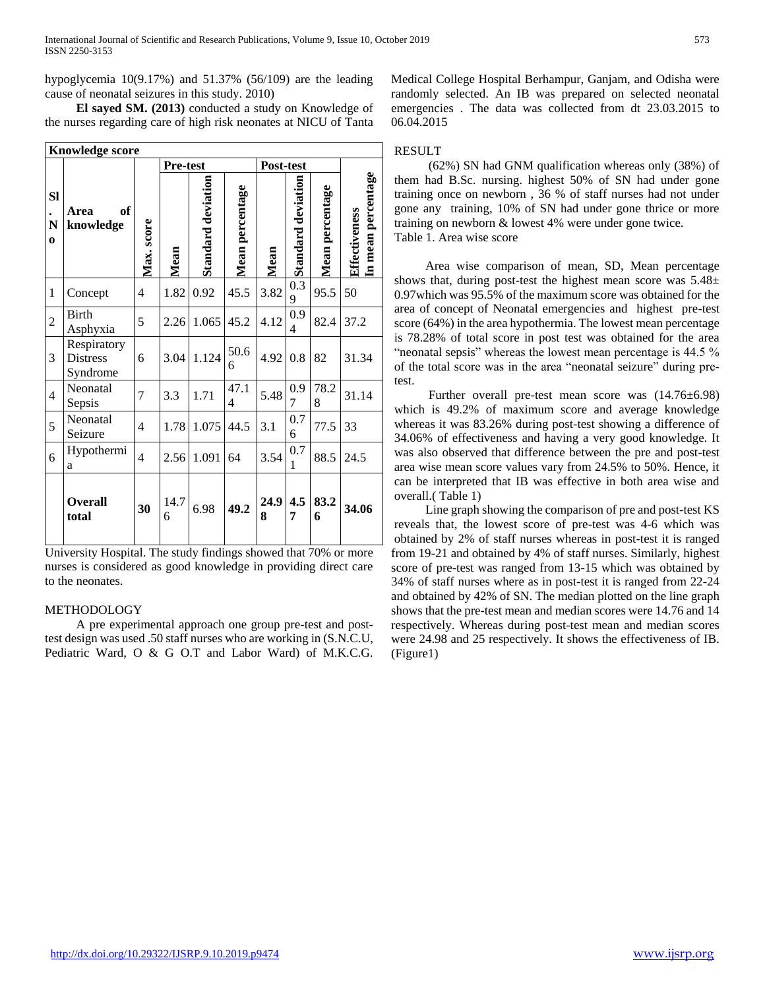hypoglycemia 10(9.17%) and 51.37% (56/109) are the leading cause of neonatal seizures in this study. 2010)

 **El sayed SM. (2013)** conducted a study on Knowledge of the nurses regarding care of high risk neonates at NICU of Tanta

|                            |                                            |                | Pre-test  |                           |                 | Post-test |                    |                 |                                     |
|----------------------------|--------------------------------------------|----------------|-----------|---------------------------|-----------------|-----------|--------------------|-----------------|-------------------------------------|
| <b>SI</b><br>N<br>$\bf{o}$ | of<br>Area<br>knowledge                    | Max. score     | Mean      | <b>Standard deviation</b> | Mean percentage | Mean      | Standard deviation | Mean percentage | In mean percentage<br>Effectiveness |
| 1                          | Concept                                    | 4              | 1.82      | 0.92                      | 45.5            | 3.82      | 0.3<br>9           | 95.5            | 50                                  |
| $\overline{2}$             | <b>Birth</b><br>Asphyxia                   | 5              | 2.26      | 1.065                     | 45.2            | 4.12      | 0.9<br>4           | 82.4            | 37.2                                |
| 3                          | Respiratory<br><b>Distress</b><br>Syndrome | 6              | 3.04      | 1.124                     | 50.6<br>6       | 4.92      | 0.8                | 82              | 31.34                               |
| $\overline{4}$             | Neonatal<br>Sepsis                         | 7              | 3.3       | 1.71                      | 47.1<br>4       | 5.48      | 0.9<br>7           | 78.2<br>8       | 31.14                               |
| 5                          | Neonatal<br>Seizure                        | 4              | 1.78      | 1.075                     | 44.5            | 3.1       | 0.7<br>6           | 77.5            | 33                                  |
| 6                          | Hypothermi<br>a                            | $\overline{4}$ | 2.56      | 1.091                     | 64              | 3.54      | 0.7<br>1           | 88.5            | 24.5                                |
|                            | <b>Overall</b><br>total                    | 30             | 14.7<br>6 | 6.98                      | 49.2            | 24.9<br>8 | 4.5<br>7           | 83.2<br>6       | 34.06                               |

University Hospital. The study findings showed that 70% or more nurses is considered as good knowledge in providing direct care to the neonates.

## METHODOLOGY

 A pre experimental approach one group pre-test and posttest design was used .50 staff nurses who are working in (S.N.C.U, Pediatric Ward, O & G O.T and Labor Ward) of M.K.C.G. Medical College Hospital Berhampur, Ganjam, and Odisha were randomly selected. An IB was prepared on selected neonatal emergencies . The data was collected from dt 23.03.2015 to 06.04.2015

# RESULT

 (62%) SN had GNM qualification whereas only (38%) of them had B.Sc. nursing. highest 50% of SN had under gone training once on newborn , 36 % of staff nurses had not under gone any training, 10% of SN had under gone thrice or more training on newborn & lowest 4% were under gone twice. Table 1. Area wise score

 Area wise comparison of mean, SD, Mean percentage shows that, during post-test the highest mean score was  $5.48\pm$ 0.97which was 95.5% of the maximum score was obtained for the area of concept of Neonatal emergencies and highest pre-test score (64%) in the area hypothermia. The lowest mean percentage is 78.28% of total score in post test was obtained for the area "neonatal sepsis" whereas the lowest mean percentage is 44.5 % of the total score was in the area "neonatal seizure" during pretest.

 Further overall pre-test mean score was (14.76±6.98) which is 49.2% of maximum score and average knowledge whereas it was 83.26% during post-test showing a difference of 34.06% of effectiveness and having a very good knowledge. It was also observed that difference between the pre and post-test area wise mean score values vary from 24.5% to 50%. Hence, it can be interpreted that IB was effective in both area wise and overall.( Table 1)

 Line graph showing the comparison of pre and post-test KS reveals that, the lowest score of pre-test was 4-6 which was obtained by 2% of staff nurses whereas in post-test it is ranged from 19-21 and obtained by 4% of staff nurses. Similarly, highest score of pre-test was ranged from 13-15 which was obtained by 34% of staff nurses where as in post-test it is ranged from 22-24 and obtained by 42% of SN. The median plotted on the line graph shows that the pre-test mean and median scores were 14.76 and 14 respectively. Whereas during post-test mean and median scores were 24.98 and 25 respectively. It shows the effectiveness of IB. (Figure1)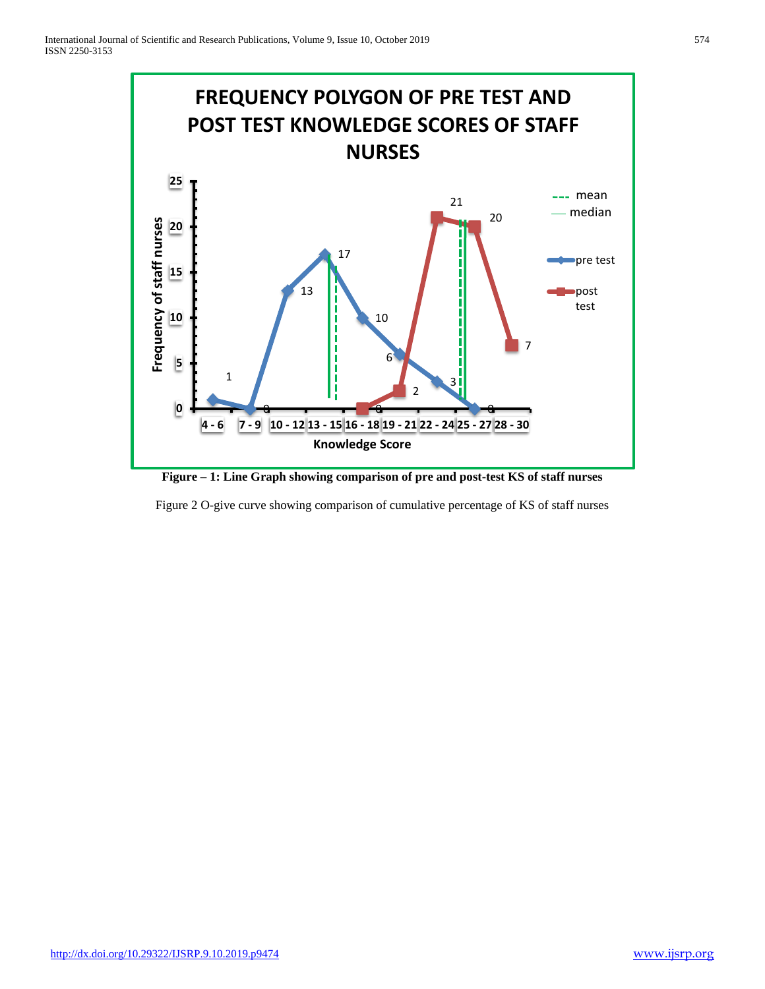

**Figure – 1: Line Graph showing comparison of pre and post-test KS of staff nurses**

Figure 2 O-give curve showing comparison of cumulative percentage of KS of staff nurses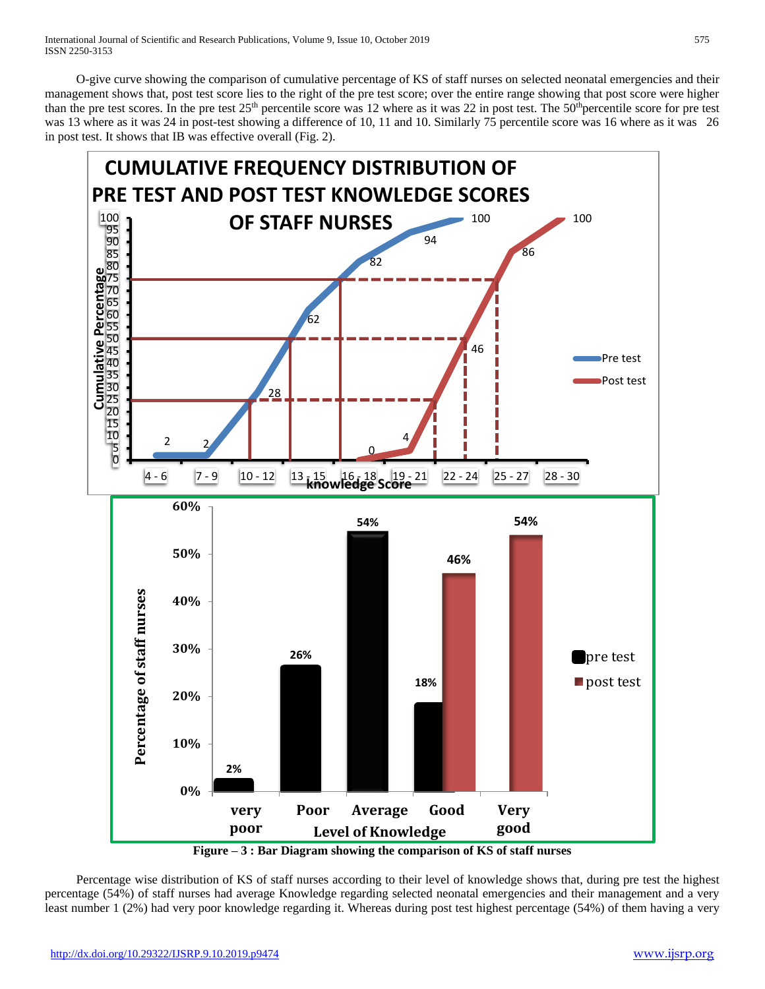O-give curve showing the comparison of cumulative percentage of KS of staff nurses on selected neonatal emergencies and their management shows that, post test score lies to the right of the pre test score; over the entire range showing that post score were higher than the pre test scores. In the pre test  $25<sup>th</sup>$  percentile score was 12 where as it was 22 in post test. The  $50<sup>th</sup>$  percentile score for pre test was 13 where as it was 24 in post-test showing a difference of 10, 11 and 10. Similarly 75 percentile score was 16 where as it was 26 in post test. It shows that IB was effective overall (Fig. 2).



**Figure – 3 : Bar Diagram showing the comparison of KS of staff nurses**

 Percentage wise distribution of KS of staff nurses according to their level of knowledge shows that, during pre test the highest percentage (54%) of staff nurses had average Knowledge regarding selected neonatal emergencies and their management and a very least number 1 (2%) had very poor knowledge regarding it. Whereas during post test highest percentage (54%) of them having a very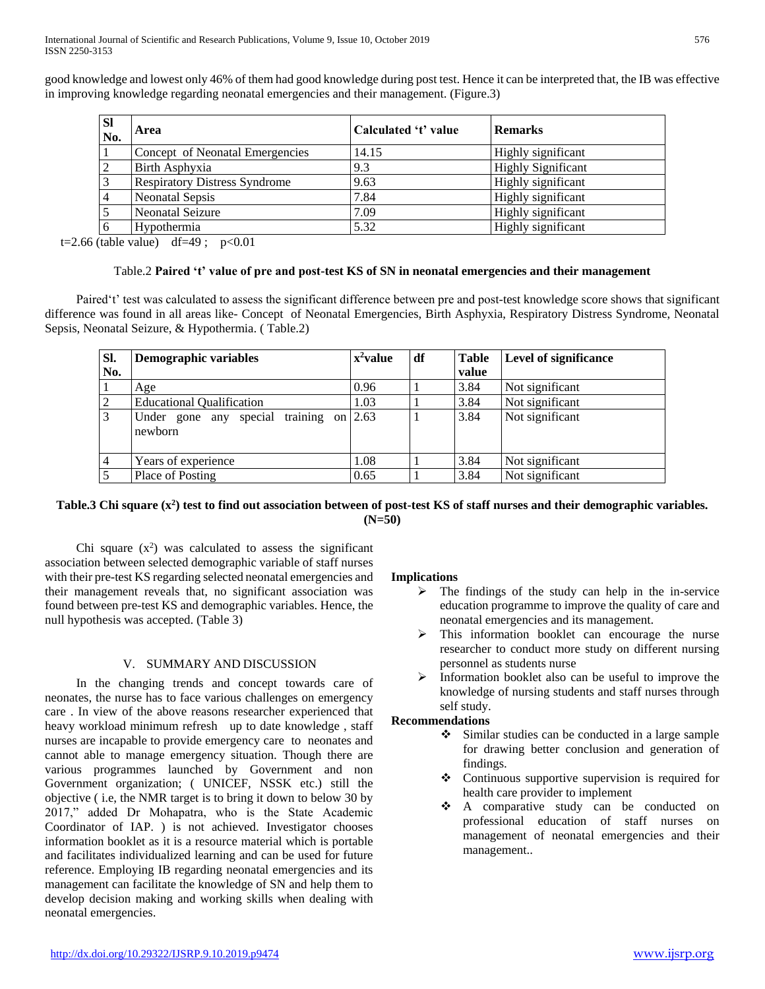good knowledge and lowest only 46% of them had good knowledge during post test. Hence it can be interpreted that, the IB was effective in improving knowledge regarding neonatal emergencies and their management. (Figure.3)

| <b>SI</b><br>No. | Area                                 | Calculated 't' value | <b>Remarks</b>            |
|------------------|--------------------------------------|----------------------|---------------------------|
|                  | Concept of Neonatal Emergencies      | 14.15                | Highly significant        |
| ∍                | Birth Asphyxia                       | 9.3                  | <b>Highly Significant</b> |
|                  | <b>Respiratory Distress Syndrome</b> | 9.63                 | Highly significant        |
|                  | Neonatal Sepsis                      | 7.84                 | Highly significant        |
|                  | <b>Neonatal Seizure</b>              | 7.09                 | Highly significant        |
| 6                | Hypothermia                          | 5.32                 | Highly significant        |

t=2.66 (table value) df=49;  $p<0.01$ 

## Table.2 **Paired 't' value of pre and post-test KS of SN in neonatal emergencies and their management**

 Paired't' test was calculated to assess the significant difference between pre and post-test knowledge score shows that significant difference was found in all areas like- Concept of Neonatal Emergencies, Birth Asphyxia, Respiratory Distress Syndrome, Neonatal Sepsis, Neonatal Seizure, & Hypothermia. ( Table.2)

| SI.            | Demographic variables                            | $x^2$ value | df | <b>Table</b> | <b>Level of significance</b> |  |
|----------------|--------------------------------------------------|-------------|----|--------------|------------------------------|--|
| No.            |                                                  |             |    | value        |                              |  |
|                | Age                                              | 0.96        |    | 3.84         | Not significant              |  |
| $\overline{2}$ | <b>Educational Qualification</b>                 | 1.03        |    | 3.84         | Not significant              |  |
| $\overline{3}$ | training on<br>Under gone any special<br>newborn | 2.63        |    | 3.84         | Not significant              |  |
| $\overline{4}$ | Years of experience                              | 1.08        |    | 3.84         | Not significant              |  |
| 5              | Place of Posting                                 | 0.65        |    | 3.84         | Not significant              |  |

# **Table.3 Chi square (x<sup>2</sup> ) test to find out association between of post-test KS of staff nurses and their demographic variables. (N=50)**

Chi square  $(x^2)$  was calculated to assess the significant association between selected demographic variable of staff nurses with their pre-test KS regarding selected neonatal emergencies and their management reveals that, no significant association was found between pre-test KS and demographic variables. Hence, the null hypothesis was accepted. (Table 3)

# V. SUMMARY AND DISCUSSION

 In the changing trends and concept towards care of neonates, the nurse has to face various challenges on emergency care . In view of the above reasons researcher experienced that heavy workload minimum refresh up to date knowledge , staff nurses are incapable to provide emergency care to neonates and cannot able to manage emergency situation. Though there are various programmes launched by Government and non Government organization; ( UNICEF, NSSK etc.) still the objective ( i.e, the NMR target is to bring it down to below 30 by 2017," added Dr Mohapatra, who is the State Academic Coordinator of IAP. ) is not achieved. Investigator chooses information booklet as it is a resource material which is portable and facilitates individualized learning and can be used for future reference. Employing IB regarding neonatal emergencies and its management can facilitate the knowledge of SN and help them to develop decision making and working skills when dealing with neonatal emergencies.

# **Implications**

- $\triangleright$  The findings of the study can help in the in-service education programme to improve the quality of care and neonatal emergencies and its management.
- $\triangleright$  This information booklet can encourage the nurse researcher to conduct more study on different nursing personnel as students nurse
- $\triangleright$  Information booklet also can be useful to improve the knowledge of nursing students and staff nurses through self study.

## **Recommendations**

- Similar studies can be conducted in a large sample for drawing better conclusion and generation of findings.
- Continuous supportive supervision is required for health care provider to implement
- A comparative study can be conducted on professional education of staff nurses on management of neonatal emergencies and their management..